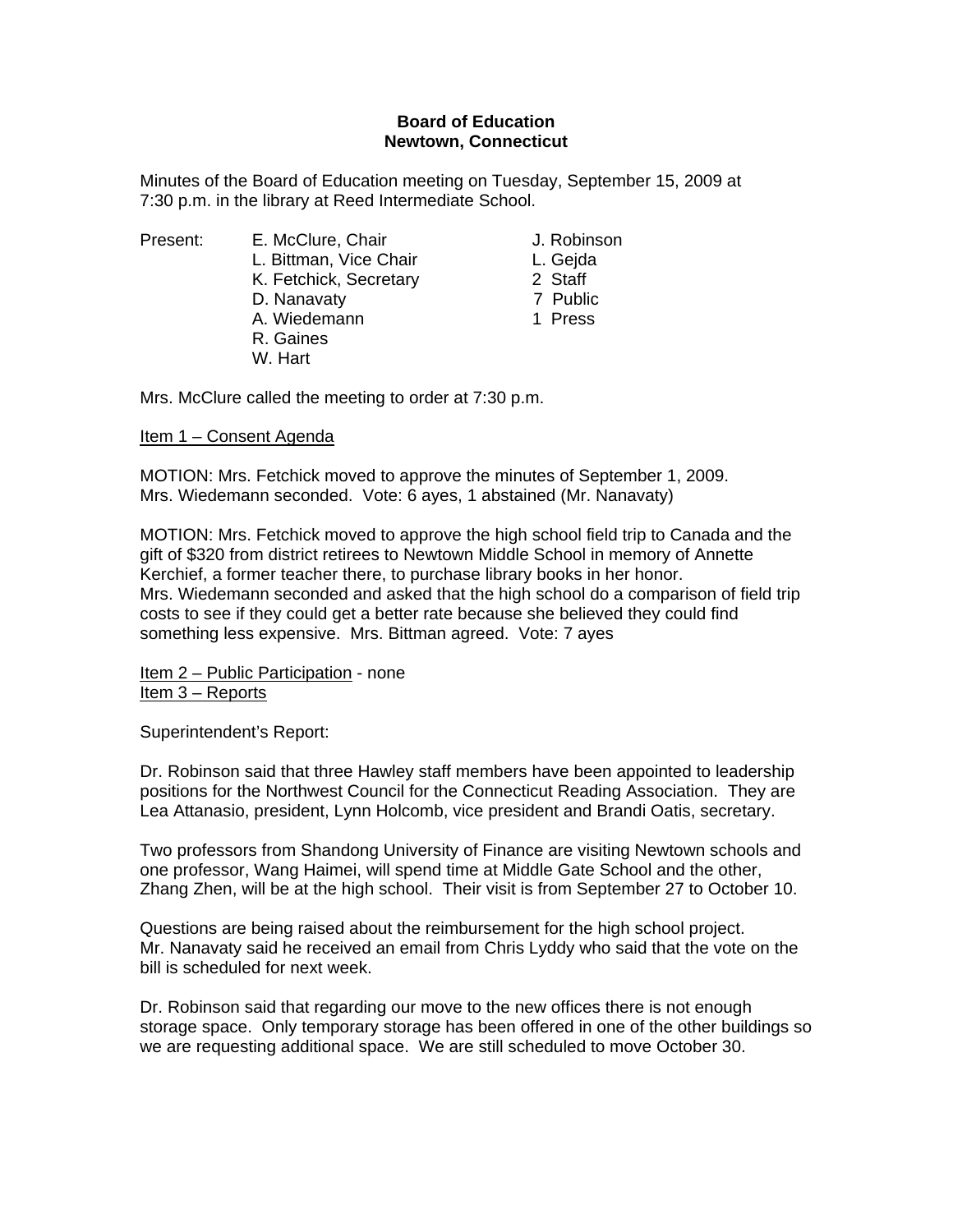## **Board of Education Newtown, Connecticut**

Minutes of the Board of Education meeting on Tuesday, September 15, 2009 at 7:30 p.m. in the library at Reed Intermediate School.

Present: E. McClure, Chair **J. Robinson** 

- L. Bittman, Vice Chair **L. Geida**
- K. Fetchick, Secretary 2 Staff
- D. Nanavaty 7 Public
- A. Wiedemann 1 Press

Mrs. McClure called the meeting to order at 7:30 p.m.

 R. Gaines W. Hart

Item 1 – Consent Agenda

MOTION: Mrs. Fetchick moved to approve the minutes of September 1, 2009. Mrs. Wiedemann seconded. Vote: 6 ayes, 1 abstained (Mr. Nanavaty)

MOTION: Mrs. Fetchick moved to approve the high school field trip to Canada and the gift of \$320 from district retirees to Newtown Middle School in memory of Annette Kerchief, a former teacher there, to purchase library books in her honor. Mrs. Wiedemann seconded and asked that the high school do a comparison of field trip costs to see if they could get a better rate because she believed they could find something less expensive. Mrs. Bittman agreed. Vote: 7 ayes

Item 2 – Public Participation - none Item 3 – Reports

Superintendent's Report:

Dr. Robinson said that three Hawley staff members have been appointed to leadership positions for the Northwest Council for the Connecticut Reading Association. They are Lea Attanasio, president, Lynn Holcomb, vice president and Brandi Oatis, secretary.

Two professors from Shandong University of Finance are visiting Newtown schools and one professor, Wang Haimei, will spend time at Middle Gate School and the other, Zhang Zhen, will be at the high school. Their visit is from September 27 to October 10.

Questions are being raised about the reimbursement for the high school project. Mr. Nanavaty said he received an email from Chris Lyddy who said that the vote on the bill is scheduled for next week.

Dr. Robinson said that regarding our move to the new offices there is not enough storage space. Only temporary storage has been offered in one of the other buildings so we are requesting additional space. We are still scheduled to move October 30.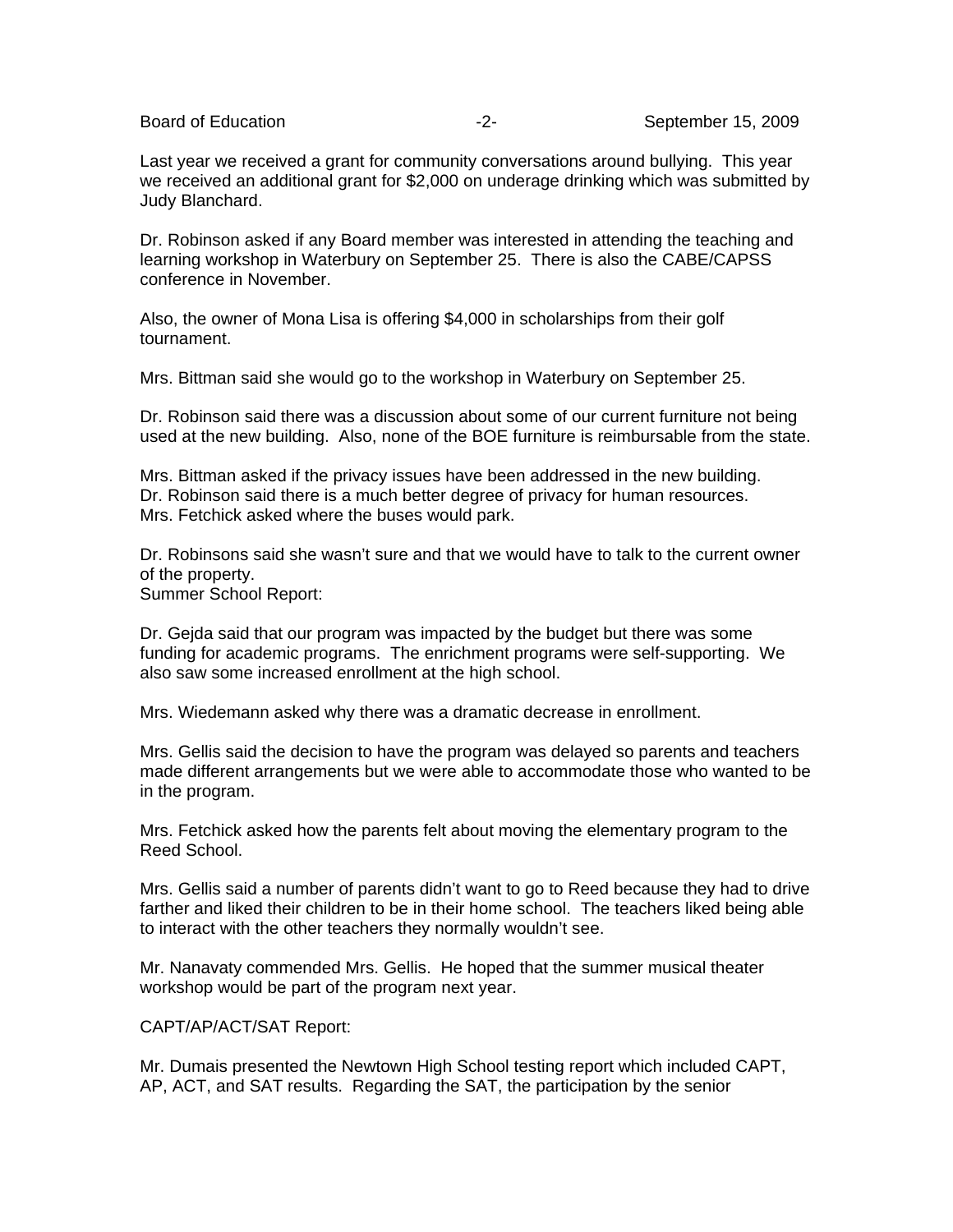Last year we received a grant for community conversations around bullying. This year we received an additional grant for \$2,000 on underage drinking which was submitted by Judy Blanchard.

Dr. Robinson asked if any Board member was interested in attending the teaching and learning workshop in Waterbury on September 25. There is also the CABE/CAPSS conference in November.

Also, the owner of Mona Lisa is offering \$4,000 in scholarships from their golf tournament.

Mrs. Bittman said she would go to the workshop in Waterbury on September 25.

Dr. Robinson said there was a discussion about some of our current furniture not being used at the new building. Also, none of the BOE furniture is reimbursable from the state.

Mrs. Bittman asked if the privacy issues have been addressed in the new building. Dr. Robinson said there is a much better degree of privacy for human resources. Mrs. Fetchick asked where the buses would park.

Dr. Robinsons said she wasn't sure and that we would have to talk to the current owner of the property. Summer School Report:

Dr. Gejda said that our program was impacted by the budget but there was some funding for academic programs. The enrichment programs were self-supporting. We also saw some increased enrollment at the high school.

Mrs. Wiedemann asked why there was a dramatic decrease in enrollment.

Mrs. Gellis said the decision to have the program was delayed so parents and teachers made different arrangements but we were able to accommodate those who wanted to be in the program.

Mrs. Fetchick asked how the parents felt about moving the elementary program to the Reed School.

Mrs. Gellis said a number of parents didn't want to go to Reed because they had to drive farther and liked their children to be in their home school. The teachers liked being able to interact with the other teachers they normally wouldn't see.

Mr. Nanavaty commended Mrs. Gellis. He hoped that the summer musical theater workshop would be part of the program next year.

CAPT/AP/ACT/SAT Report:

Mr. Dumais presented the Newtown High School testing report which included CAPT, AP, ACT, and SAT results. Regarding the SAT, the participation by the senior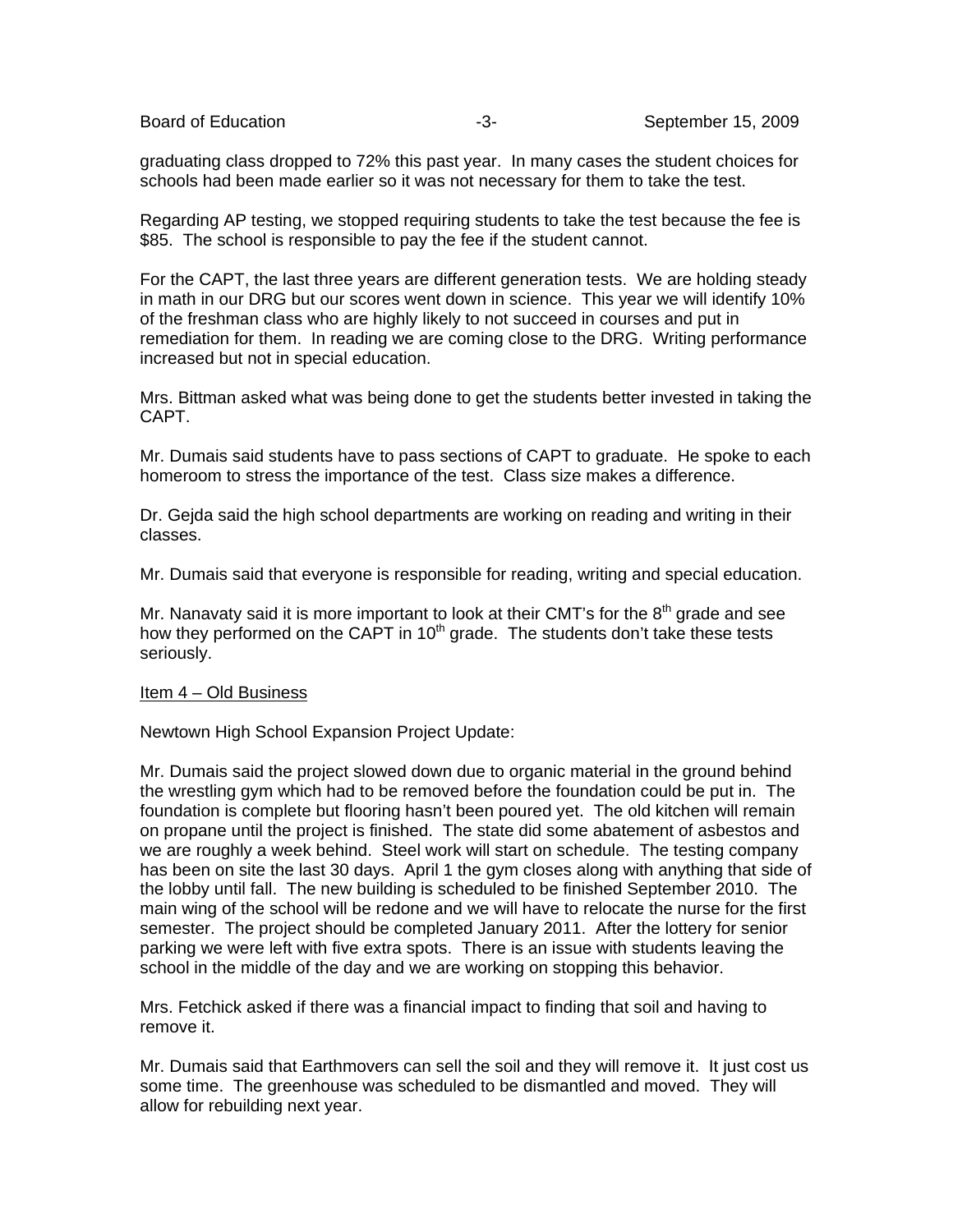graduating class dropped to 72% this past year. In many cases the student choices for schools had been made earlier so it was not necessary for them to take the test.

Regarding AP testing, we stopped requiring students to take the test because the fee is \$85. The school is responsible to pay the fee if the student cannot.

For the CAPT, the last three years are different generation tests. We are holding steady in math in our DRG but our scores went down in science. This year we will identify 10% of the freshman class who are highly likely to not succeed in courses and put in remediation for them. In reading we are coming close to the DRG. Writing performance increased but not in special education.

Mrs. Bittman asked what was being done to get the students better invested in taking the CAPT.

Mr. Dumais said students have to pass sections of CAPT to graduate. He spoke to each homeroom to stress the importance of the test. Class size makes a difference.

Dr. Gejda said the high school departments are working on reading and writing in their classes.

Mr. Dumais said that everyone is responsible for reading, writing and special education.

Mr. Nanavaty said it is more important to look at their CMT's for the  $8<sup>th</sup>$  grade and see how they performed on the CAPT in  $10<sup>th</sup>$  grade. The students don't take these tests seriously.

## Item 4 – Old Business

Newtown High School Expansion Project Update:

Mr. Dumais said the project slowed down due to organic material in the ground behind the wrestling gym which had to be removed before the foundation could be put in. The foundation is complete but flooring hasn't been poured yet. The old kitchen will remain on propane until the project is finished. The state did some abatement of asbestos and we are roughly a week behind. Steel work will start on schedule. The testing company has been on site the last 30 days. April 1 the gym closes along with anything that side of the lobby until fall. The new building is scheduled to be finished September 2010. The main wing of the school will be redone and we will have to relocate the nurse for the first semester. The project should be completed January 2011. After the lottery for senior parking we were left with five extra spots. There is an issue with students leaving the school in the middle of the day and we are working on stopping this behavior.

Mrs. Fetchick asked if there was a financial impact to finding that soil and having to remove it.

Mr. Dumais said that Earthmovers can sell the soil and they will remove it. It just cost us some time. The greenhouse was scheduled to be dismantled and moved. They will allow for rebuilding next year.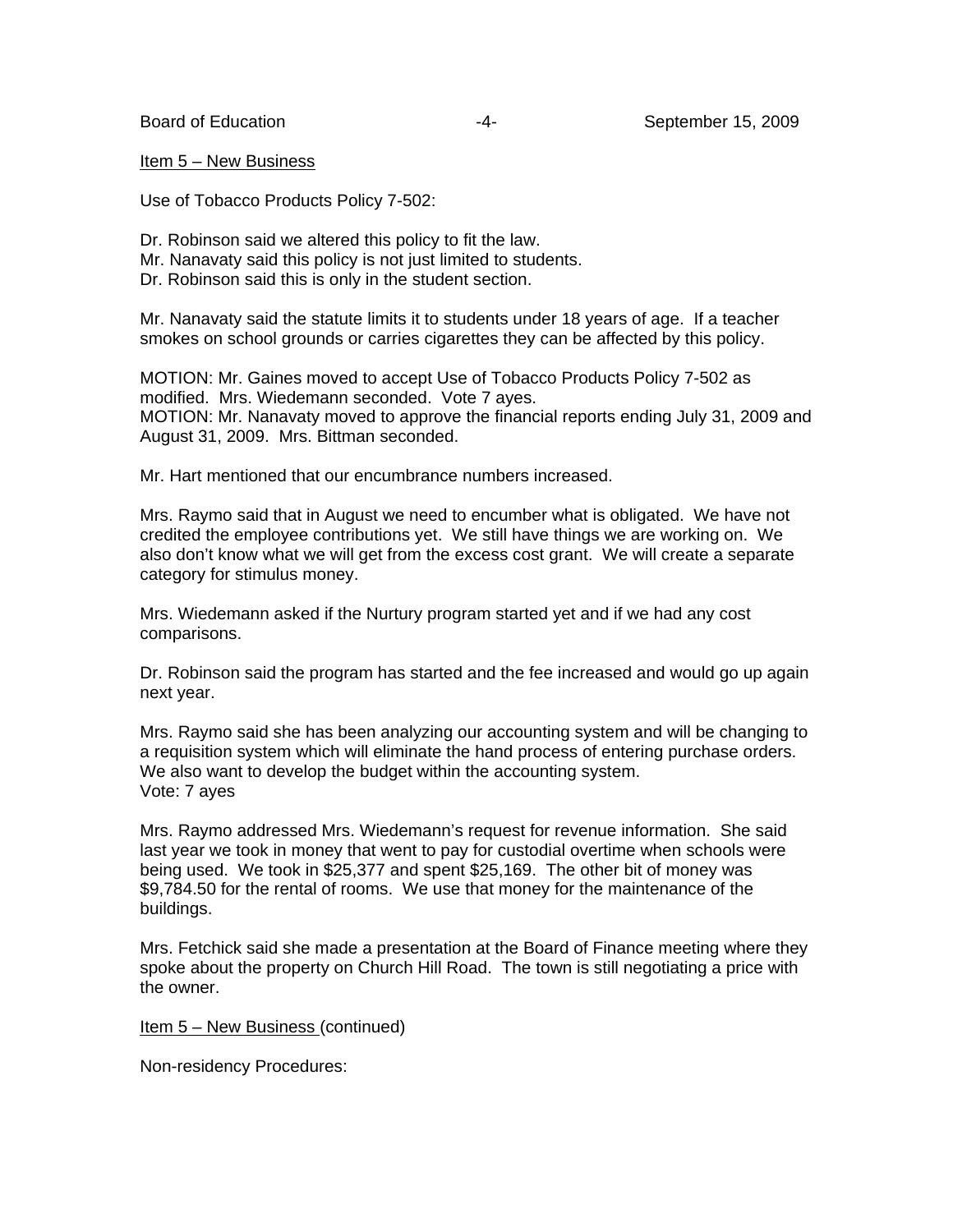Item 5 – New Business

Use of Tobacco Products Policy 7-502:

Dr. Robinson said we altered this policy to fit the law.

- Mr. Nanavaty said this policy is not just limited to students.
- Dr. Robinson said this is only in the student section.

Mr. Nanavaty said the statute limits it to students under 18 years of age. If a teacher smokes on school grounds or carries cigarettes they can be affected by this policy.

MOTION: Mr. Gaines moved to accept Use of Tobacco Products Policy 7-502 as modified. Mrs. Wiedemann seconded. Vote 7 ayes. MOTION: Mr. Nanavaty moved to approve the financial reports ending July 31, 2009 and August 31, 2009. Mrs. Bittman seconded.

Mr. Hart mentioned that our encumbrance numbers increased.

Mrs. Raymo said that in August we need to encumber what is obligated. We have not credited the employee contributions yet. We still have things we are working on. We also don't know what we will get from the excess cost grant. We will create a separate category for stimulus money.

Mrs. Wiedemann asked if the Nurtury program started yet and if we had any cost comparisons.

Dr. Robinson said the program has started and the fee increased and would go up again next year.

Mrs. Raymo said she has been analyzing our accounting system and will be changing to a requisition system which will eliminate the hand process of entering purchase orders. We also want to develop the budget within the accounting system. Vote: 7 ayes

Mrs. Raymo addressed Mrs. Wiedemann's request for revenue information. She said last year we took in money that went to pay for custodial overtime when schools were being used. We took in \$25,377 and spent \$25,169. The other bit of money was \$9,784.50 for the rental of rooms. We use that money for the maintenance of the buildings.

Mrs. Fetchick said she made a presentation at the Board of Finance meeting where they spoke about the property on Church Hill Road. The town is still negotiating a price with the owner.

Item 5 – New Business (continued)

Non-residency Procedures: